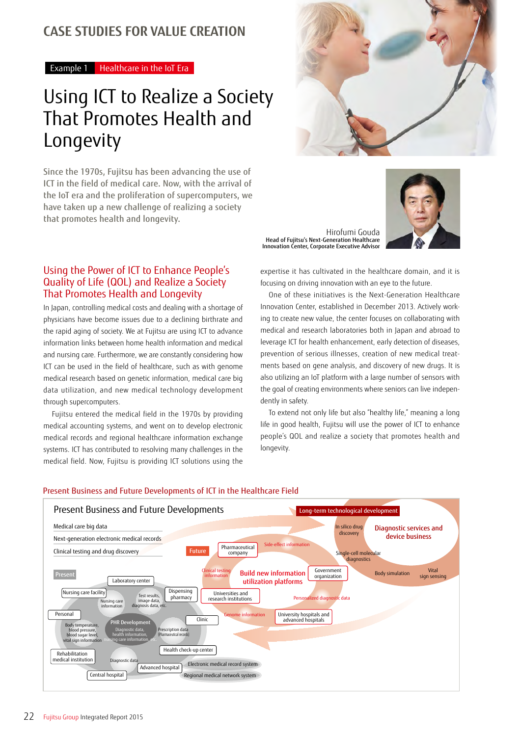### **CASE STUDIES FOR VALUE CREATION**

Example 1 Healthcare in the IoT Era

## Using ICT to Realize a Society That Promotes Health and Longevity

Since the 1970s, Fujitsu has been advancing the use of ICT in the field of medical care. Now, with the arrival of the IoT era and the proliferation of supercomputers, we have taken up a new challenge of realizing a society that promotes health and longevity.

#### Using the Power of ICT to Enhance People's Quality of Life (QOL) and Realize a Society That Promotes Health and Longevity

In Japan, controlling medical costs and dealing with a shortage of physicians have become issues due to a declining birthrate and the rapid aging of society. We at Fujitsu are using ICT to advance information links between home health information and medical and nursing care. Furthermore, we are constantly considering how ICT can be used in the field of healthcare, such as with genome medical research based on genetic information, medical care big data utilization, and new medical technology development through supercomputers.

Fujitsu entered the medical field in the 1970s by providing medical accounting systems, and went on to develop electronic medical records and regional healthcare information exchange systems. ICT has contributed to resolving many challenges in the medical field. Now, Fujitsu is providing ICT solutions using the



Hirofumi Gouda Head of Fujitsu's Next-Generation Healthcare Innovation Center, Corporate Executive Advisor



expertise it has cultivated in the healthcare domain, and it is focusing on driving innovation with an eye to the future.

One of these initiatives is the Next-Generation Healthcare Innovation Center, established in December 2013. Actively working to create new value, the center focuses on collaborating with medical and research laboratories both in Japan and abroad to leverage ICT for health enhancement, early detection of diseases, prevention of serious illnesses, creation of new medical treatments based on gene analysis, and discovery of new drugs. It is also utilizing an IoT platform with a large number of sensors with the goal of creating environments where seniors can live independently in safety.

To extend not only life but also "healthy life," meaning a long life in good health, Fujitsu will use the power of ICT to enhance people's QOL and realize a society that promotes health and longevity.



#### Present Business and Future Developments of ICT in the Healthcare Field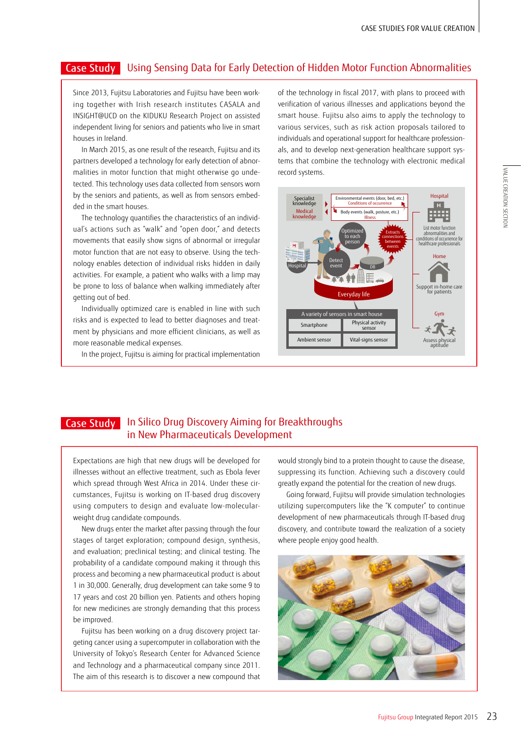### Case Study | Using Sensing Data for Early Detection of Hidden Motor Function Abnormalities

Since 2013, Fujitsu Laboratories and Fujitsu have been working together with Irish research institutes CASALA and INSIGHT@UCD on the KIDUKU Research Project on assisted independent living for seniors and patients who live in smart houses in Ireland.

In March 2015, as one result of the research, Fujitsu and its partners developed a technology for early detection of abnormalities in motor function that might otherwise go undetected. This technology uses data collected from sensors worn by the seniors and patients, as well as from sensors embedded in the smart houses.

The technology quantifies the characteristics of an individual's actions such as "walk" and "open door," and detects movements that easily show signs of abnormal or irregular motor function that are not easy to observe. Using the technology enables detection of individual risks hidden in daily activities. For example, a patient who walks with a limp may be prone to loss of balance when walking immediately after getting out of bed.

Individually optimized care is enabled in line with such risks and is expected to lead to better diagnoses and treatment by physicians and more efficient clinicians, as well as more reasonable medical expenses.

In the project, Fujitsu is aiming for practical implementation

of the technology in fiscal 2017, with plans to proceed with verification of various illnesses and applications beyond the smart house. Fujitsu also aims to apply the technology to various services, such as risk action proposals tailored to individuals and operational support for healthcare professionals, and to develop next-generation healthcare support systems that combine the technology with electronic medical record systems.



# VALUE CREATION SECTION VALUE CREATION SECTION

#### In Silico Drug Discovery Aiming for Breakthroughs in New Pharmaceuticals Development Case Study

Expectations are high that new drugs will be developed for illnesses without an effective treatment, such as Ebola fever which spread through West Africa in 2014. Under these circumstances, Fujitsu is working on IT-based drug discovery using computers to design and evaluate low-molecularweight drug candidate compounds.

New drugs enter the market after passing through the four stages of target exploration; compound design, synthesis, and evaluation; preclinical testing; and clinical testing. The probability of a candidate compound making it through this process and becoming a new pharmaceutical product is about 1 in 30,000. Generally, drug development can take some 9 to 17 years and cost 20 billion yen. Patients and others hoping for new medicines are strongly demanding that this process be improved.

Fujitsu has been working on a drug discovery project targeting cancer using a supercomputer in collaboration with the University of Tokyo's Research Center for Advanced Science and Technology and a pharmaceutical company since 2011. The aim of this research is to discover a new compound that would strongly bind to a protein thought to cause the disease, suppressing its function. Achieving such a discovery could greatly expand the potential for the creation of new drugs.

Going forward, Fujitsu will provide simulation technologies utilizing supercomputers like the "K computer" to continue development of new pharmaceuticals through IT-based drug discovery, and contribute toward the realization of a society where people enjoy good health.

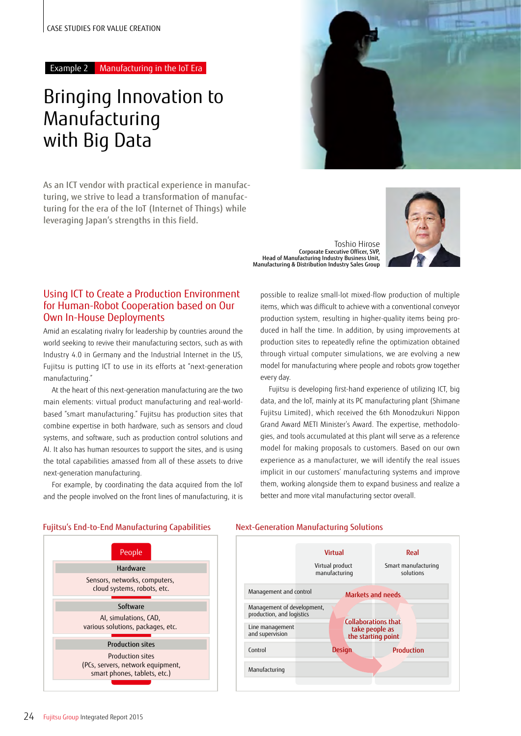### Bringing Innovation to Manufacturing with Big Data

As an ICT vendor with practical experience in manufacturing, we strive to lead a transformation of manufacturing for the era of the IoT (Internet of Things) while leveraging Japan's strengths in this field.



Toshio Hirose Corporate Executive Officer, SVP, Head of Manufacturing Industry Business Unit, Manufacturing & Distribution Industry Sales Group



#### Using ICT to Create a Production Environment for Human-Robot Cooperation based on Our Own In-House Deployments

Amid an escalating rivalry for leadership by countries around the world seeking to revive their manufacturing sectors, such as with Industry 4.0 in Germany and the Industrial Internet in the US, Fujitsu is putting ICT to use in its efforts at "next-generation manufacturing."

At the heart of this next-generation manufacturing are the two main elements: virtual product manufacturing and real-worldbased "smart manufacturing." Fujitsu has production sites that combine expertise in both hardware, such as sensors and cloud systems, and software, such as production control solutions and AI. It also has human resources to support the sites, and is using the total capabilities amassed from all of these assets to drive next-generation manufacturing.

For example, by coordinating the data acquired from the IoT and the people involved on the front lines of manufacturing, it is

possible to realize small-lot mixed-flow production of multiple items, which was difficult to achieve with a conventional conveyor production system, resulting in higher-quality items being produced in half the time. In addition, by using improvements at production sites to repeatedly refine the optimization obtained through virtual computer simulations, we are evolving a new model for manufacturing where people and robots grow together every day.

Fujitsu is developing first-hand experience of utilizing ICT, big data, and the IoT, mainly at its PC manufacturing plant (Shimane Fujitsu Limited), which received the 6th Monodzukuri Nippon Grand Award METI Minister's Award. The expertise, methodologies, and tools accumulated at this plant will serve as a reference model for making proposals to customers. Based on our own experience as a manufacturer, we will identify the real issues implicit in our customers' manufacturing systems and improve them, working alongside them to expand business and realize a better and more vital manufacturing sector overall.





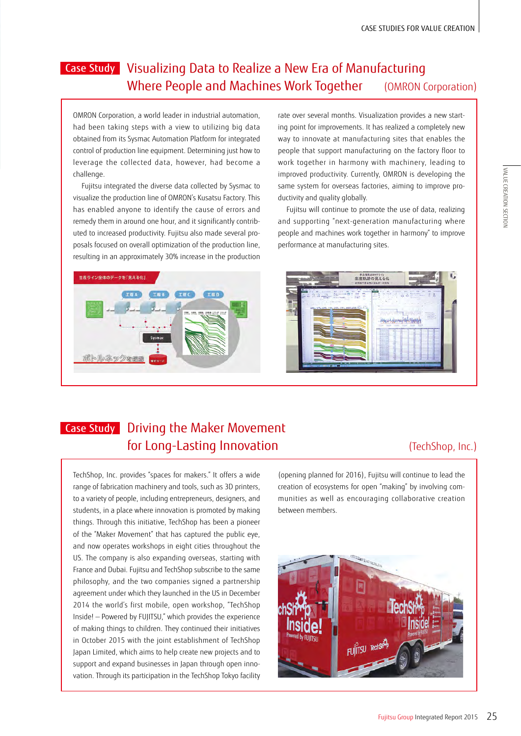### Case Study | Visualizing Data to Realize a New Era of Manufacturing Where People and Machines Work Together (OMRON Corporation)

OMRON Corporation, a world leader in industrial automation, had been taking steps with a view to utilizing big data obtained from its Sysmac Automation Platform for integrated control of production line equipment. Determining just how to leverage the collected data, however, had become a challenge.

Fujitsu integrated the diverse data collected by Sysmac to visualize the production line of OMRON's Kusatsu Factory. This has enabled anyone to identify the cause of errors and remedy them in around one hour, and it significantly contributed to increased productivity. Fujitsu also made several proposals focused on overall optimization of the production line, resulting in an approximately 30% increase in the production

way to innovate at manufacturing sites that enables the people that support manufacturing on the factory floor to work together in harmony with machinery, leading to improved productivity. Currently, OMRON is developing the same system for overseas factories, aiming to improve productivity and quality globally. Fujitsu will continue to promote the use of data, realizing

and supporting "next-generation manufacturing where people and machines work together in harmony" to improve performance at manufacturing sites.

rate over several months. Visualization provides a new starting point for improvements. It has realized a completely new





### Case Study Driving the Maker Movement **for Long-Lasting Innovation** (TechShop, Inc.)

TechShop, Inc. provides "spaces for makers." It offers a wide range of fabrication machinery and tools, such as 3D printers, to a variety of people, including entrepreneurs, designers, and students, in a place where innovation is promoted by making things. Through this initiative, TechShop has been a pioneer of the "Maker Movement" that has captured the public eye, and now operates workshops in eight cities throughout the US. The company is also expanding overseas, starting with France and Dubai. Fujitsu and TechShop subscribe to the same philosophy, and the two companies signed a partnership agreement under which they launched in the US in December 2014 the world's first mobile, open workshop, "TechShop Inside! — Powered by FUJITSU," which provides the experience of making things to children. They continued their initiatives in October 2015 with the joint establishment of TechShop Japan Limited, which aims to help create new projects and to support and expand businesses in Japan through open innovation. Through its participation in the TechShop Tokyo facility (opening planned for 2016), Fujitsu will continue to lead the creation of ecosystems for open "making" by involving communities as well as encouraging collaborative creation between members.

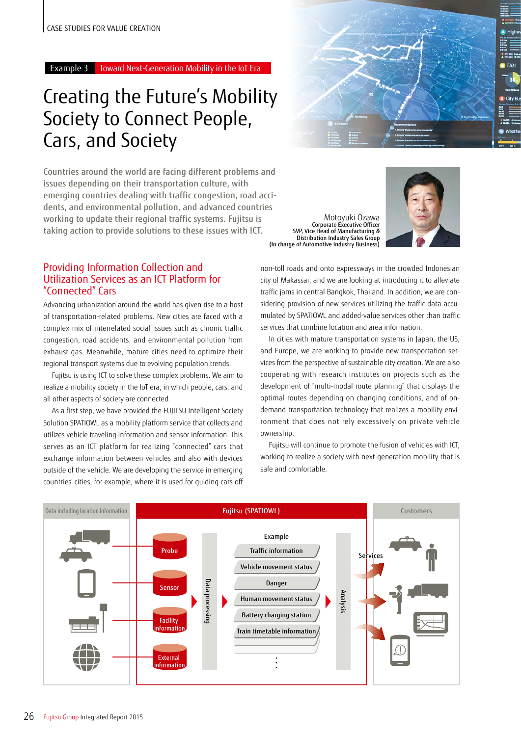### Creating the Future's Mobility Society to Connect People, Cars, and Society

Countries around the world are facing different problems and issues depending on their transportation culture, with emerging countries dealing with traffic congestion, road accidents, and environmental pollution, and advanced countries working to update their regional traffic systems. Fujitsu is taking action to provide solutions to these issues with ICT.

#### Providing Information Collection and Utilization Services as an ICT Platform for "Connected" Cars

Advancing urbanization around the world has given rise to a host of transportation-related problems. New cities are faced with a complex mix of interrelated social issues such as chronic traffic congestion, road accidents, and environmental pollution from exhaust gas. Meanwhile, mature cities need to optimize their regional transport systems due to evolving population trends.

Fujitsu is using ICT to solve these complex problems. We aim to realize a mobility society in the IoT era, in which people, cars, and all other aspects of society are connected.

As a first step, we have provided the FUJITSU Intelligent Society Solution SPATIOWL as a mobility platform service that collects and utilizes vehicle traveling information and sensor information. This serves as an ICT platform for realizing "connected" cars that exchange information between vehicles and also with devices outside of the vehicle. We are developing the service in emerging countries' cities, for example, where it is used for guiding cars off



Motoyuki Ozawa Corporate Executive Officer SVP, Vice Head of Manufacturing & Distribution Industry Sales Group (In charge of Automotive Industry Business)



non-toll roads and onto expressways in the crowded Indonesian city of Makassar, and we are looking at introducing it to alleviate traffic jams in central Bangkok, Thailand. In addition, we are considering provision of new services utilizing the traffic data accumulated by SPATIOWL and added-value services other than traffic services that combine location and area information.

In cities with mature transportation systems in Japan, the US, and Europe, we are working to provide new transportation services from the perspective of sustainable city creation. We are also cooperating with research institutes on projects such as the development of "multi-modal route planning" that displays the optimal routes depending on changing conditions, and of ondemand transportation technology that realizes a mobility environment that does not rely excessively on private vehicle ownership.

Fujitsu will continue to promote the fusion of vehicles with ICT, working to realize a society with next-generation mobility that is safe and comfortable.